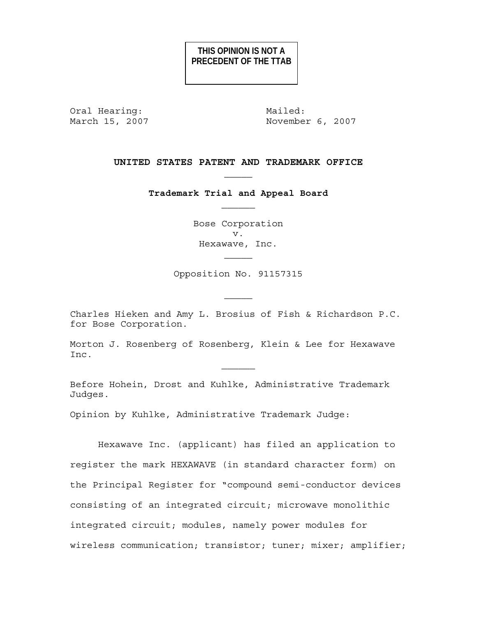# **THIS OPINION IS NOT A PRECEDENT OF THE TTAB**

Oral Hearing: Mailed:

March 15, 2007 **November 6, 2007** 

# **UNITED STATES PATENT AND TRADEMARK OFFICE**

**Trademark Trial and Appeal Board** 

Bose Corporation v. Hexawave, Inc.

Opposition No. 91157315

Charles Hieken and Amy L. Brosius of Fish & Richardson P.C. for Bose Corporation.

Morton J. Rosenberg of Rosenberg, Klein & Lee for Hexawave Inc.

 $\mathcal{L}_\text{max}$ 

Before Hohein, Drost and Kuhlke, Administrative Trademark Judges.

Opinion by Kuhlke, Administrative Trademark Judge:

Hexawave Inc. (applicant) has filed an application to register the mark HEXAWAVE (in standard character form) on the Principal Register for "compound semi-conductor devices consisting of an integrated circuit; microwave monolithic integrated circuit; modules, namely power modules for wireless communication; transistor; tuner; mixer; amplifier;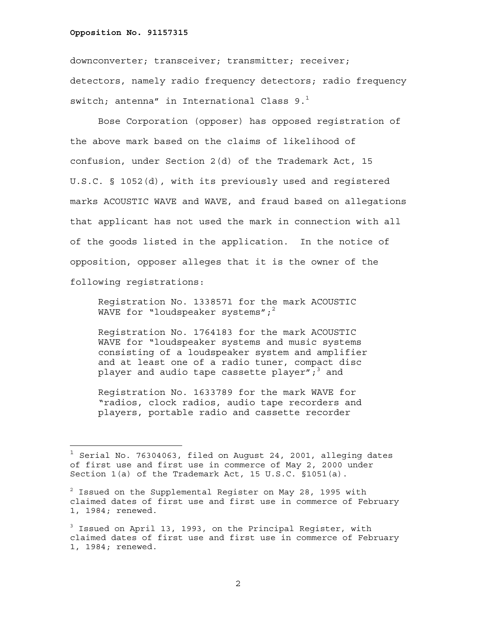i<br>L

downconverter; transceiver; transmitter; receiver; detectors, namely radio frequency detectors; radio frequency switch; antenna" in International Class  $9.^1$ 

Bose Corporation (opposer) has opposed registration of the above mark based on the claims of likelihood of confusion, under Section 2(d) of the Trademark Act, 15 U.S.C. § 1052(d), with its previously used and registered marks ACOUSTIC WAVE and WAVE, and fraud based on allegations that applicant has not used the mark in connection with all of the goods listed in the application. In the notice of opposition, opposer alleges that it is the owner of the following registrations:

Registration No. 1338571 for the mark ACOUSTIC WAVE for "loudspeaker systems"; $^2$ 

Registration No. 1764183 for the mark ACOUSTIC WAVE for "loudspeaker systems and music systems consisting of a loudspeaker system and amplifier and at least one of a radio tuner, compact disc player and audio tape cassette player $\vec{r}$  , and

Registration No. 1633789 for the mark WAVE for "radios, clock radios, audio tape recorders and players, portable radio and cassette recorder

 $^1$  Serial No. 76304063, filed on August 24, 2001, alleging dates of first use and first use in commerce of May 2, 2000 under Section 1(a) of the Trademark Act, 15 U.S.C. §1051(a).

 $^2$  Issued on the Supplemental Register on May 28, 1995 with claimed dates of first use and first use in commerce of February 1, 1984; renewed.

<sup>&</sup>lt;sup>3</sup> Issued on April 13, 1993, on the Principal Register, with claimed dates of first use and first use in commerce of February 1, 1984; renewed.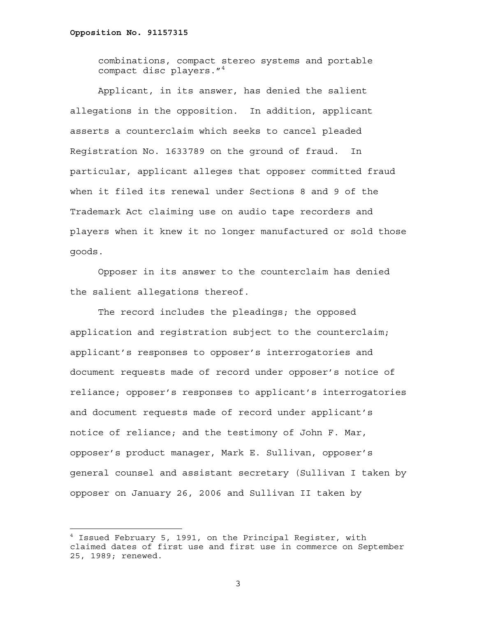i<br>L

combinations, compact stereo systems and portable compact disc players."<sup>4</sup>

Applicant, in its answer, has denied the salient allegations in the opposition. In addition, applicant asserts a counterclaim which seeks to cancel pleaded Registration No. 1633789 on the ground of fraud. In particular, applicant alleges that opposer committed fraud when it filed its renewal under Sections 8 and 9 of the Trademark Act claiming use on audio tape recorders and players when it knew it no longer manufactured or sold those goods.

Opposer in its answer to the counterclaim has denied the salient allegations thereof.

The record includes the pleadings; the opposed application and registration subject to the counterclaim; applicant's responses to opposer's interrogatories and document requests made of record under opposer's notice of reliance; opposer's responses to applicant's interrogatories and document requests made of record under applicant's notice of reliance; and the testimony of John F. Mar, opposer's product manager, Mark E. Sullivan, opposer's general counsel and assistant secretary (Sullivan I taken by opposer on January 26, 2006 and Sullivan II taken by

<sup>4</sup> Issued February 5, 1991, on the Principal Register, with claimed dates of first use and first use in commerce on September 25, 1989; renewed.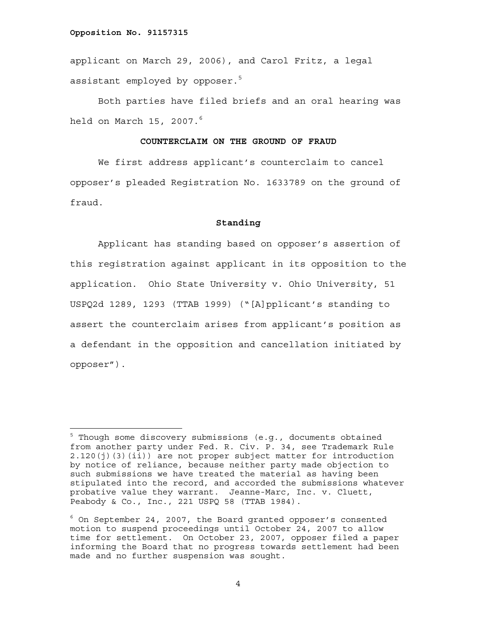i<br>L

applicant on March 29, 2006), and Carol Fritz, a legal assistant employed by opposer.<sup>5</sup>

Both parties have filed briefs and an oral hearing was held on March 15, 2007. $^6$ 

# **COUNTERCLAIM ON THE GROUND OF FRAUD**

 We first address applicant's counterclaim to cancel opposer's pleaded Registration No. 1633789 on the ground of fraud.

# **Standing**

Applicant has standing based on opposer's assertion of this registration against applicant in its opposition to the application. Ohio State University v. Ohio University, 51 USPQ2d 1289, 1293 (TTAB 1999) ("[A]pplicant's standing to assert the counterclaim arises from applicant's position as a defendant in the opposition and cancellation initiated by opposer").

<sup>&</sup>lt;sup>5</sup> Though some discovery submissions (e.g., documents obtained from another party under Fed. R. Civ. P. 34, see Trademark Rule 2.120(j)(3)(ii)) are not proper subject matter for introduction by notice of reliance, because neither party made objection to such submissions we have treated the material as having been stipulated into the record, and accorded the submissions whatever probative value they warrant. Jeanne-Marc, Inc. v. Cluett, -<br>Peabody & Co., Inc., 221 USPQ 58 (TTAB 1984).

 $6$  On September 24, 2007, the Board granted opposer's consented motion to suspend proceedings until October 24, 2007 to allow time for settlement. On October 23, 2007, opposer filed a paper informing the Board that no progress towards settlement had been made and no further suspension was sought.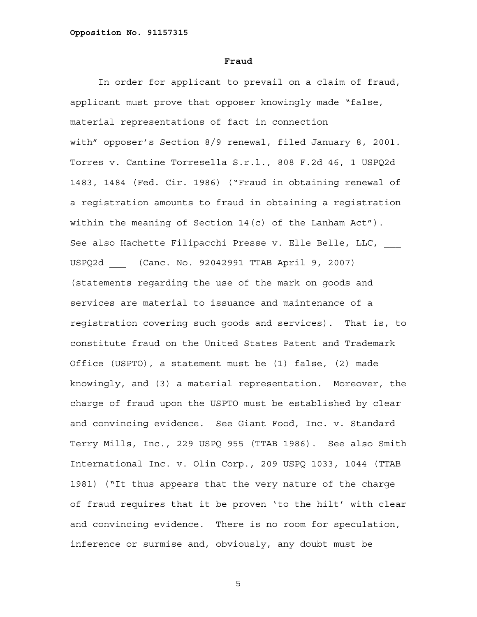#### **Fraud**

In order for applicant to prevail on a claim of fraud, applicant must prove that opposer knowingly made "false, material representations of fact in connection with" opposer's Section 8/9 renewal, filed January 8, 2001. Torres v. Cantine Torresella S.r.l., 808 F.2d 46, 1 USPQ2d 1483, 1484 (Fed. Cir. 1986) ("Fraud in obtaining renewal of a registration amounts to fraud in obtaining a registration within the meaning of Section 14(c) of the Lanham Act"). See also Hachette Filipacchi Presse v. Elle Belle, LLC, USPQ2d \_\_\_ (Canc. No. 92042991 TTAB April 9, 2007) (statements regarding the use of the mark on goods and services are material to issuance and maintenance of a registration covering such goods and services). That is, to constitute fraud on the United States Patent and Trademark Office (USPTO), a statement must be (1) false, (2) made knowingly, and (3) a material representation. Moreover, the charge of fraud upon the USPTO must be established by clear and convincing evidence. See Giant Food, Inc. v. Standard Terry Mills, Inc., 229 USPQ 955 (TTAB 1986). See also Smith International Inc. v. Olin Corp., 209 USPQ 1033, 1044 (TTAB 1981) ("It thus appears that the very nature of the charge of fraud requires that it be proven 'to the hilt' with clear and convincing evidence. There is no room for speculation, inference or surmise and, obviously, any doubt must be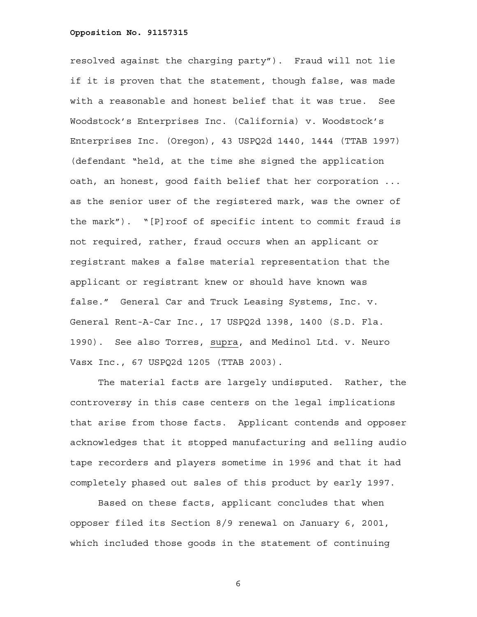resolved against the charging party"). Fraud will not lie if it is proven that the statement, though false, was made with a reasonable and honest belief that it was true. See Woodstock's Enterprises Inc. (California) v. Woodstock's Enterprises Inc. (Oregon), 43 USPQ2d 1440, 1444 (TTAB 1997) (defendant "held, at the time she signed the application oath, an honest, good faith belief that her corporation ... as the senior user of the registered mark, was the owner of the mark"). "[P]roof of specific intent to commit fraud is not required, rather, fraud occurs when an applicant or registrant makes a false material representation that the applicant or registrant knew or should have known was false." General Car and Truck Leasing Systems, Inc. v. General Rent-A-Car Inc., 17 USPQ2d 1398, 1400 (S.D. Fla. 1990). See also Torres, supra, and Medinol Ltd. v. Neuro Vasx Inc., 67 USPQ2d 1205 (TTAB 2003).

 The material facts are largely undisputed. Rather, the controversy in this case centers on the legal implications that arise from those facts. Applicant contends and opposer acknowledges that it stopped manufacturing and selling audio tape recorders and players sometime in 1996 and that it had completely phased out sales of this product by early 1997.

Based on these facts, applicant concludes that when opposer filed its Section 8/9 renewal on January 6, 2001, which included those goods in the statement of continuing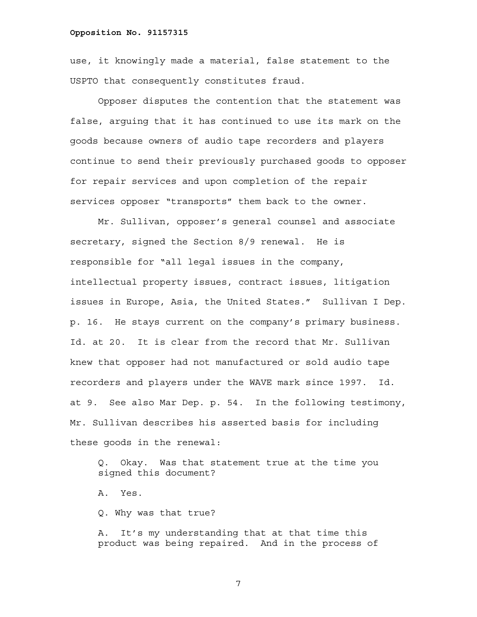use, it knowingly made a material, false statement to the USPTO that consequently constitutes fraud.

Opposer disputes the contention that the statement was false, arguing that it has continued to use its mark on the goods because owners of audio tape recorders and players continue to send their previously purchased goods to opposer for repair services and upon completion of the repair services opposer "transports" them back to the owner.

Mr. Sullivan, opposer's general counsel and associate secretary, signed the Section 8/9 renewal. He is responsible for "all legal issues in the company, intellectual property issues, contract issues, litigation issues in Europe, Asia, the United States." Sullivan I Dep. p. 16. He stays current on the company's primary business. Id. at 20. It is clear from the record that Mr. Sullivan knew that opposer had not manufactured or sold audio tape recorders and players under the WAVE mark since 1997. Id. at 9. See also Mar Dep. p. 54. In the following testimony, Mr. Sullivan describes his asserted basis for including these goods in the renewal:

Q. Okay. Was that statement true at the time you signed this document?

A. Yes.

Q. Why was that true?

A. It's my understanding that at that time this product was being repaired. And in the process of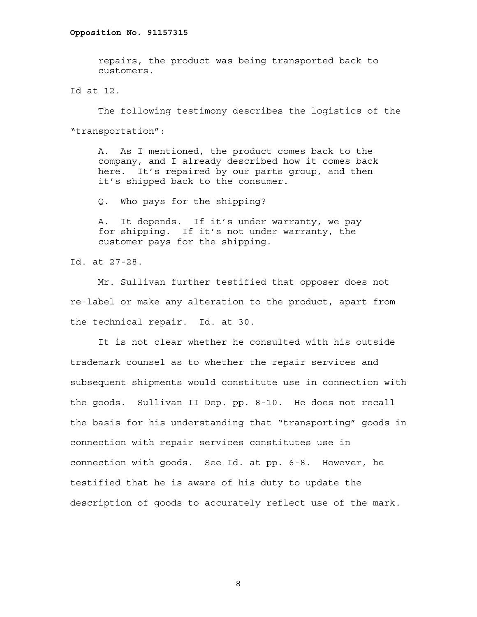repairs, the product was being transported back to customers.

Id at 12.

The following testimony describes the logistics of the "transportation":

A. As I mentioned, the product comes back to the company, and I already described how it comes back here. It's repaired by our parts group, and then it's shipped back to the consumer.

Q. Who pays for the shipping?

A. It depends. If it's under warranty, we pay for shipping. If it's not under warranty, the customer pays for the shipping.

Id. at 27-28.

Mr. Sullivan further testified that opposer does not re-label or make any alteration to the product, apart from the technical repair. Id. at 30.

It is not clear whether he consulted with his outside trademark counsel as to whether the repair services and subsequent shipments would constitute use in connection with the goods. Sullivan II Dep. pp. 8-10. He does not recall the basis for his understanding that "transporting" goods in connection with repair services constitutes use in connection with goods. See Id. at pp. 6-8. However, he testified that he is aware of his duty to update the description of goods to accurately reflect use of the mark.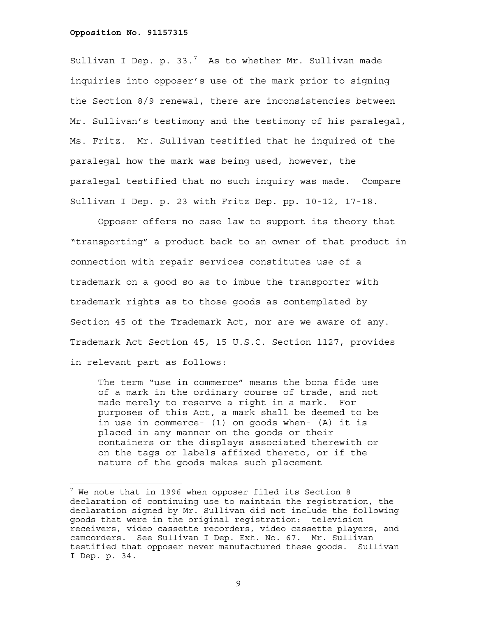—<br>—

Sullivan I Dep. p. 33. $^7$  As to whether Mr. Sullivan made inquiries into opposer's use of the mark prior to signing the Section 8/9 renewal, there are inconsistencies between Mr. Sullivan's testimony and the testimony of his paralegal, Ms. Fritz. Mr. Sullivan testified that he inquired of the paralegal how the mark was being used, however, the paralegal testified that no such inquiry was made. Compare Sullivan I Dep. p. 23 with Fritz Dep. pp. 10-12, 17-18.

Opposer offers no case law to support its theory that "transporting" a product back to an owner of that product in connection with repair services constitutes use of a trademark on a good so as to imbue the transporter with trademark rights as to those goods as contemplated by Section 45 of the Trademark Act, nor are we aware of any. Trademark Act Section 45, 15 U.S.C. Section 1127, provides in relevant part as follows:

The term "use in commerce" means the bona fide use of a mark in the ordinary course of trade, and not made merely to reserve a right in a mark. For purposes of this Act, a mark shall be deemed to be in use in commerce- (1) on goods when- (A) it is placed in any manner on the goods or their containers or the displays associated therewith or on the tags or labels affixed thereto, or if the nature of the goods makes such placement

 $^7$  We note that in 1996 when opposer filed its Section 8 declaration of continuing use to maintain the registration, the declaration signed by Mr. Sullivan did not include the following goods that were in the original registration: television receivers, video cassette recorders, video cassette players, and camcorders. See Sullivan I Dep. Exh. No. 67. Mr. Sullivan testified that opposer never manufactured these goods. Sullivan I Dep. p. 34.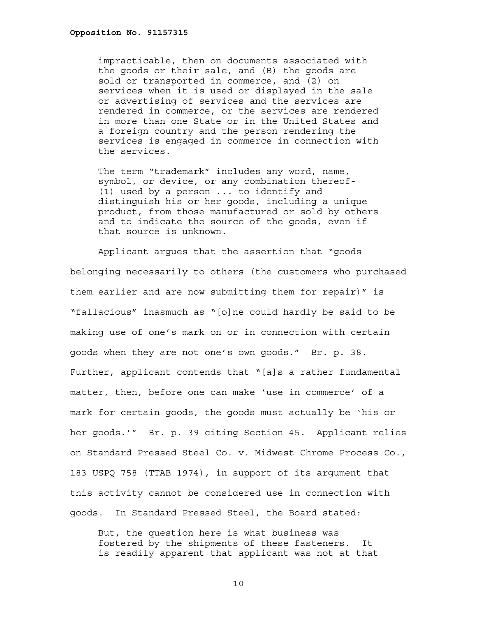impracticable, then on documents associated with the goods or their sale, and (B) the goods are sold or transported in commerce, and (2) on services when it is used or displayed in the sale or advertising of services and the services are rendered in commerce, or the services are rendered in more than one State or in the United States and a foreign country and the person rendering the services is engaged in commerce in connection with the services.

The term "trademark" includes any word, name, symbol, or device, or any combination thereof- (1) used by a person ... to identify and distinguish his or her goods, including a unique product, from those manufactured or sold by others and to indicate the source of the goods, even if that source is unknown.

Applicant argues that the assertion that "goods belonging necessarily to others (the customers who purchased them earlier and are now submitting them for repair)" is "fallacious" inasmuch as "[o]ne could hardly be said to be making use of one's mark on or in connection with certain goods when they are not one's own goods." Br. p. 38. Further, applicant contends that "[a]s a rather fundamental matter, then, before one can make 'use in commerce' of a mark for certain goods, the goods must actually be 'his or her goods.'" Br. p. 39 citing Section 45. Applicant relies on Standard Pressed Steel Co. v. Midwest Chrome Process Co., 183 USPQ 758 (TTAB 1974), in support of its argument that this activity cannot be considered use in connection with goods. In Standard Pressed Steel, the Board stated:

But, the question here is what business was fostered by the shipments of these fasteners. It is readily apparent that applicant was not at that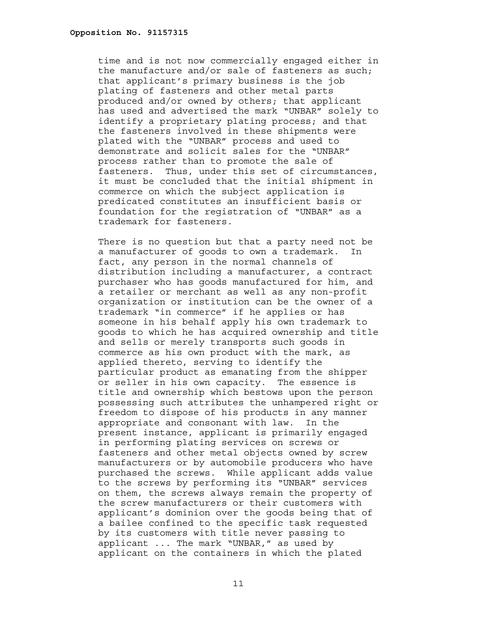time and is not now commercially engaged either in the manufacture and/or sale of fasteners as such; that applicant's primary business is the job plating of fasteners and other metal parts produced and/or owned by others; that applicant has used and advertised the mark "UNBAR" solely to identify a proprietary plating process; and that the fasteners involved in these shipments were plated with the "UNBAR" process and used to demonstrate and solicit sales for the "UNBAR" process rather than to promote the sale of fasteners. Thus, under this set of circumstances, it must be concluded that the initial shipment in commerce on which the subject application is predicated constitutes an insufficient basis or foundation for the registration of "UNBAR" as a trademark for fasteners.

There is no question but that a party need not be a manufacturer of goods to own a trademark. In fact, any person in the normal channels of distribution including a manufacturer, a contract purchaser who has goods manufactured for him, and a retailer or merchant as well as any non-profit organization or institution can be the owner of a trademark "in commerce" if he applies or has someone in his behalf apply his own trademark to goods to which he has acquired ownership and title and sells or merely transports such goods in commerce as his own product with the mark, as applied thereto, serving to identify the particular product as emanating from the shipper or seller in his own capacity. The essence is title and ownership which bestows upon the person possessing such attributes the unhampered right or freedom to dispose of his products in any manner appropriate and consonant with law. In the present instance, applicant is primarily engaged in performing plating services on screws or fasteners and other metal objects owned by screw manufacturers or by automobile producers who have purchased the screws. While applicant adds value to the screws by performing its "UNBAR" services on them, the screws always remain the property of the screw manufacturers or their customers with applicant's dominion over the goods being that of a bailee confined to the specific task requested by its customers with title never passing to applicant ... The mark "UNBAR," as used by applicant on the containers in which the plated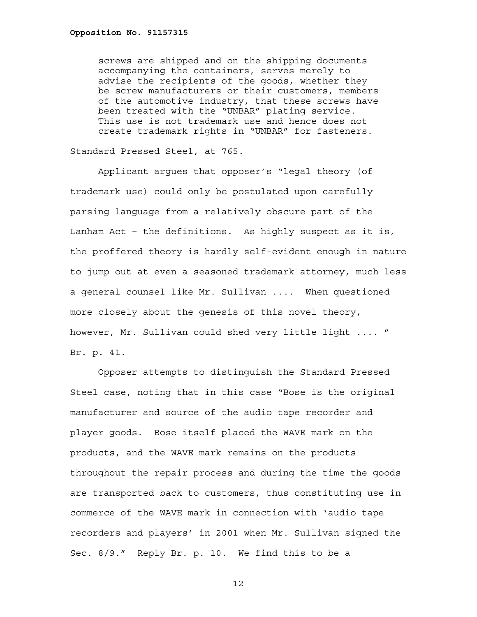screws are shipped and on the shipping documents accompanying the containers, serves merely to advise the recipients of the goods, whether they be screw manufacturers or their customers, members of the automotive industry, that these screws have been treated with the "UNBAR" plating service. This use is not trademark use and hence does not create trademark rights in "UNBAR" for fasteners.

Standard Pressed Steel, at 765.

Applicant argues that opposer's "legal theory (of trademark use) could only be postulated upon carefully parsing language from a relatively obscure part of the Lanham Act – the definitions. As highly suspect as it is, the proffered theory is hardly self-evident enough in nature to jump out at even a seasoned trademark attorney, much less a general counsel like Mr. Sullivan .... When questioned more closely about the genesis of this novel theory, however, Mr. Sullivan could shed very little light .... " Br. p. 41.

Opposer attempts to distinguish the Standard Pressed Steel case, noting that in this case "Bose is the original manufacturer and source of the audio tape recorder and player goods. Bose itself placed the WAVE mark on the products, and the WAVE mark remains on the products throughout the repair process and during the time the goods are transported back to customers, thus constituting use in commerce of the WAVE mark in connection with 'audio tape recorders and players' in 2001 when Mr. Sullivan signed the Sec. 8/9." Reply Br. p. 10. We find this to be a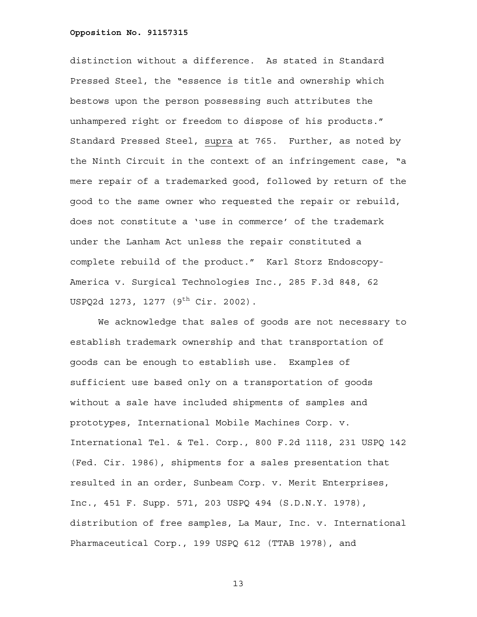distinction without a difference. As stated in Standard Pressed Steel, the "essence is title and ownership which bestows upon the person possessing such attributes the unhampered right or freedom to dispose of his products." Standard Pressed Steel, supra at 765. Further, as noted by the Ninth Circuit in the context of an infringement case, "a mere repair of a trademarked good, followed by return of the good to the same owner who requested the repair or rebuild, does not constitute a 'use in commerce' of the trademark under the Lanham Act unless the repair constituted a complete rebuild of the product." Karl Storz Endoscopy-America v. Surgical Technologies Inc., 285 F.3d 848, 62 USPQ2d 1273, 1277 (9<sup>th</sup> Cir. 2002).

We acknowledge that sales of goods are not necessary to establish trademark ownership and that transportation of goods can be enough to establish use. Examples of sufficient use based only on a transportation of goods without a sale have included shipments of samples and prototypes, International Mobile Machines Corp. v. International Tel. & Tel. Corp., 800 F.2d 1118, 231 USPQ 142 (Fed. Cir. 1986), shipments for a sales presentation that resulted in an order, Sunbeam Corp. v. Merit Enterprises, Inc., 451 F. Supp. 571, 203 USPQ 494 (S.D.N.Y. 1978), distribution of free samples, La Maur, Inc. v. International Pharmaceutical Corp., 199 USPQ 612 (TTAB 1978), and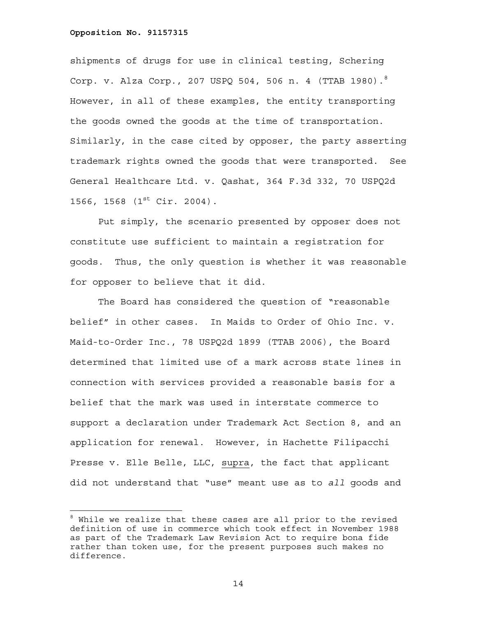—<br>—

shipments of drugs for use in clinical testing, Schering Corp. v. Alza Corp., 207 USPQ 504, 506 n. 4 (TTAB 1980).<sup>8</sup> However, in all of these examples, the entity transporting the goods owned the goods at the time of transportation. Similarly, in the case cited by opposer, the party asserting trademark rights owned the goods that were transported. See General Healthcare Ltd. v. Qashat, 364 F.3d 332, 70 USPQ2d 1566, 1568 (1<sup>st</sup> Cir. 2004).

Put simply, the scenario presented by opposer does not constitute use sufficient to maintain a registration for goods. Thus, the only question is whether it was reasonable for opposer to believe that it did.

The Board has considered the question of "reasonable belief" in other cases. In Maids to Order of Ohio Inc. v. Maid-to-Order Inc., 78 USPQ2d 1899 (TTAB 2006), the Board determined that limited use of a mark across state lines in connection with services provided a reasonable basis for a belief that the mark was used in interstate commerce to support a declaration under Trademark Act Section 8, and an application for renewal. However, in Hachette Filipacchi Presse v. Elle Belle, LLC, supra, the fact that applicant did not understand that "use" meant use as to *all* goods and

 $^8$  While we realize that these cases are all prior to the revised definition of use in commerce which took effect in November 1988 as part of the Trademark Law Revision Act to require bona fide rather than token use, for the present purposes such makes no difference.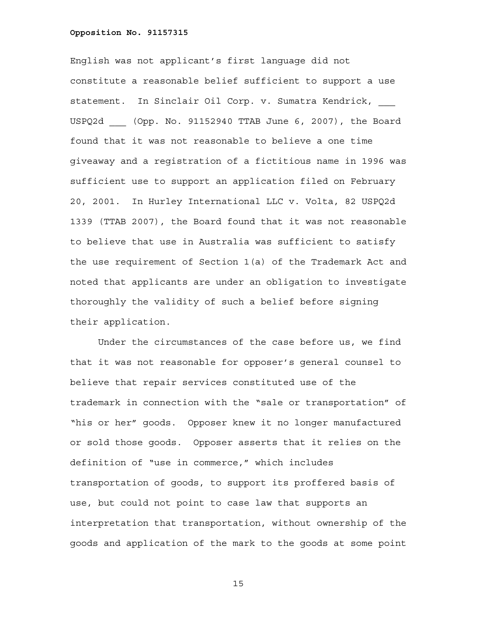English was not applicant's first language did not constitute a reasonable belief sufficient to support a use statement. In Sinclair Oil Corp. v. Sumatra Kendrick, \_\_\_ USPQ2d \_\_\_ (Opp. No. 91152940 TTAB June 6, 2007), the Board found that it was not reasonable to believe a one time giveaway and a registration of a fictitious name in 1996 was sufficient use to support an application filed on February 20, 2001. In Hurley International LLC v. Volta, 82 USPQ2d 1339 (TTAB 2007), the Board found that it was not reasonable to believe that use in Australia was sufficient to satisfy the use requirement of Section 1(a) of the Trademark Act and noted that applicants are under an obligation to investigate thoroughly the validity of such a belief before signing their application.

Under the circumstances of the case before us, we find that it was not reasonable for opposer's general counsel to believe that repair services constituted use of the trademark in connection with the "sale or transportation" of "his or her" goods. Opposer knew it no longer manufactured or sold those goods. Opposer asserts that it relies on the definition of "use in commerce," which includes transportation of goods, to support its proffered basis of use, but could not point to case law that supports an interpretation that transportation, without ownership of the goods and application of the mark to the goods at some point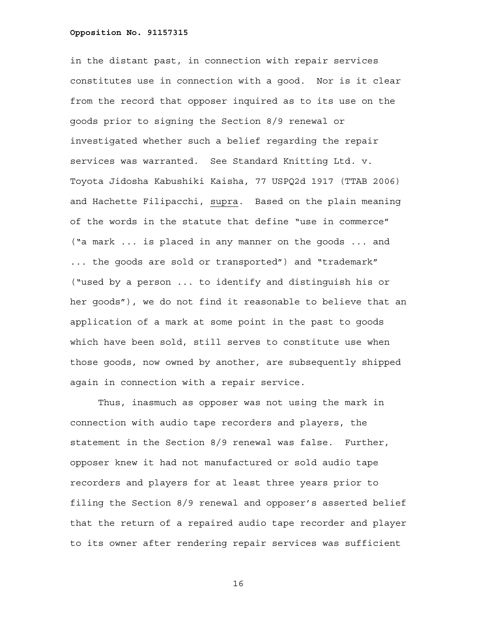in the distant past, in connection with repair services constitutes use in connection with a good. Nor is it clear from the record that opposer inquired as to its use on the goods prior to signing the Section 8/9 renewal or investigated whether such a belief regarding the repair services was warranted. See Standard Knitting Ltd. v. Toyota Jidosha Kabushiki Kaisha, 77 USPQ2d 1917 (TTAB 2006) and Hachette Filipacchi, supra. Based on the plain meaning of the words in the statute that define "use in commerce" ("a mark ... is placed in any manner on the goods ... and ... the goods are sold or transported") and "trademark" ("used by a person ... to identify and distinguish his or her goods"), we do not find it reasonable to believe that an application of a mark at some point in the past to goods which have been sold, still serves to constitute use when those goods, now owned by another, are subsequently shipped again in connection with a repair service.

Thus, inasmuch as opposer was not using the mark in connection with audio tape recorders and players, the statement in the Section 8/9 renewal was false. Further, opposer knew it had not manufactured or sold audio tape recorders and players for at least three years prior to filing the Section 8/9 renewal and opposer's asserted belief that the return of a repaired audio tape recorder and player to its owner after rendering repair services was sufficient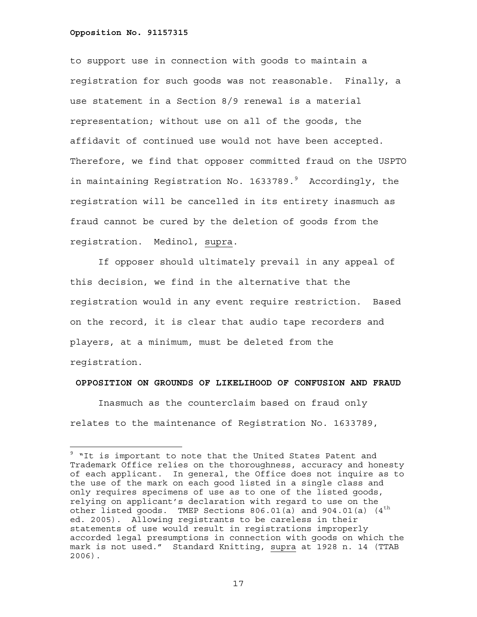to support use in connection with goods to maintain a registration for such goods was not reasonable. Finally, a use statement in a Section 8/9 renewal is a material representation; without use on all of the goods, the affidavit of continued use would not have been accepted. Therefore, we find that opposer committed fraud on the USPTO in maintaining Registration No. 1633789.<sup>9</sup> Accordingly, the registration will be cancelled in its entirety inasmuch as fraud cannot be cured by the deletion of goods from the registration. Medinol, supra.

If opposer should ultimately prevail in any appeal of this decision, we find in the alternative that the registration would in any event require restriction. Based on the record, it is clear that audio tape recorders and players, at a minimum, must be deleted from the registration.

### **OPPOSITION ON GROUNDS OF LIKELIHOOD OF CONFUSION AND FRAUD**

 Inasmuch as the counterclaim based on fraud only relates to the maintenance of Registration No. 1633789,

<sup>&</sup>lt;sup>9</sup> "It is important to note that the United States Patent and Trademark Office relies on the thoroughness, accuracy and honesty of each applicant. In general, the Office does not inquire as to the use of the mark on each good listed in a single class and only requires specimens of use as to one of the listed goods, relying on applicant's declaration with regard to use on the other listed goods. TMEP Sections  $806.01(a)$  and  $904.01(a)$  (4<sup>th</sup> ed. 2005). Allowing registrants to be careless in their statements of use would result in registrations improperly accorded legal presumptions in connection with goods on which the mark is not used." Standard Knitting, supra at 1928 n. 14 (TTAB 2006).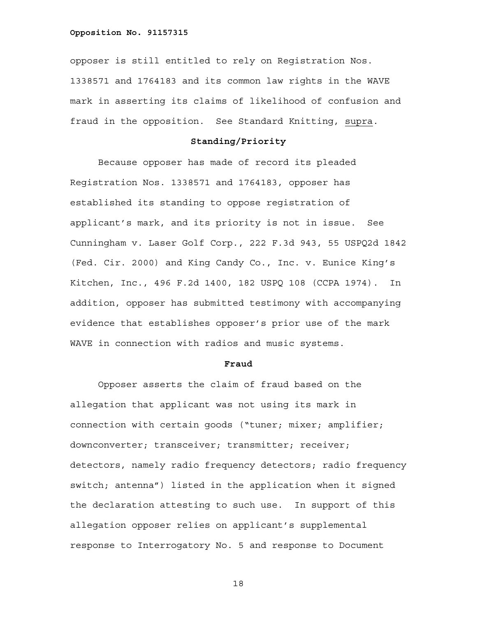opposer is still entitled to rely on Registration Nos. 1338571 and 1764183 and its common law rights in the WAVE mark in asserting its claims of likelihood of confusion and fraud in the opposition. See Standard Knitting, supra.

# **Standing/Priority**

 Because opposer has made of record its pleaded Registration Nos. 1338571 and 1764183, opposer has established its standing to oppose registration of applicant's mark, and its priority is not in issue. See Cunningham v. Laser Golf Corp., 222 F.3d 943, 55 USPQ2d 1842 (Fed. Cir. 2000) and King Candy Co., Inc. v. Eunice King's Kitchen, Inc., 496 F.2d 1400, 182 USPQ 108 (CCPA 1974). In addition, opposer has submitted testimony with accompanying evidence that establishes opposer's prior use of the mark WAVE in connection with radios and music systems.

### **Fraud**

Opposer asserts the claim of fraud based on the allegation that applicant was not using its mark in connection with certain goods ("tuner; mixer; amplifier; downconverter; transceiver; transmitter; receiver; detectors, namely radio frequency detectors; radio frequency switch; antenna") listed in the application when it signed the declaration attesting to such use. In support of this allegation opposer relies on applicant's supplemental response to Interrogatory No. 5 and response to Document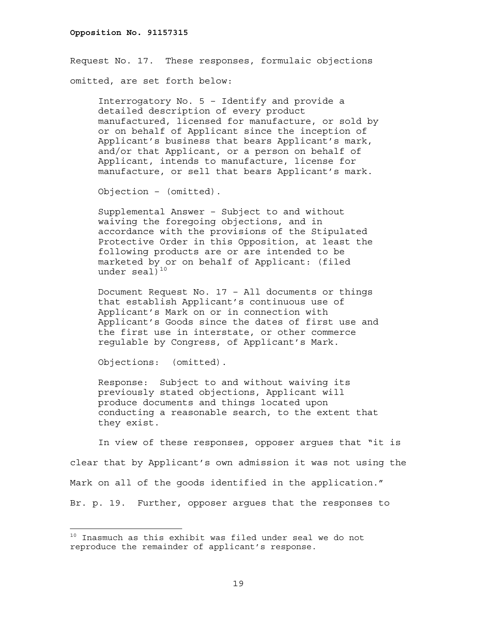Request No. 17. These responses, formulaic objections omitted, are set forth below:

Interrogatory No. 5 – Identify and provide a detailed description of every product manufactured, licensed for manufacture, or sold by or on behalf of Applicant since the inception of Applicant's business that bears Applicant's mark, and/or that Applicant, or a person on behalf of Applicant, intends to manufacture, license for manufacture, or sell that bears Applicant's mark.

Objection – (omitted).

Supplemental Answer – Subject to and without waiving the foregoing objections, and in accordance with the provisions of the Stipulated Protective Order in this Opposition, at least the following products are or are intended to be marketed by or on behalf of Applicant: (filed under seal $1^{10}$ 

Document Request No. 17 – All documents or things that establish Applicant's continuous use of Applicant's Mark on or in connection with Applicant's Goods since the dates of first use and the first use in interstate, or other commerce regulable by Congress, of Applicant's Mark.

Objections: (omitted).

i<br>L

Response: Subject to and without waiving its previously stated objections, Applicant will produce documents and things located upon conducting a reasonable search, to the extent that they exist.

In view of these responses, opposer argues that "it is clear that by Applicant's own admission it was not using the Mark on all of the goods identified in the application." Br. p. 19. Further, opposer argues that the responses to

 $10$  Inasmuch as this exhibit was filed under seal we do not reproduce the remainder of applicant's response.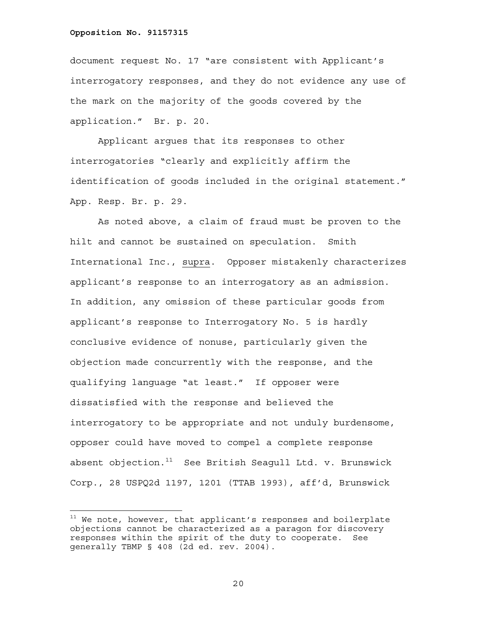i<br>L

document request No. 17 "are consistent with Applicant's interrogatory responses, and they do not evidence any use of the mark on the majority of the goods covered by the application." Br. p. 20.

Applicant argues that its responses to other interrogatories "clearly and explicitly affirm the identification of goods included in the original statement." App. Resp. Br. p. 29.

As noted above, a claim of fraud must be proven to the hilt and cannot be sustained on speculation. Smith International Inc., supra. Opposer mistakenly characterizes applicant's response to an interrogatory as an admission. In addition, any omission of these particular goods from applicant's response to Interrogatory No. 5 is hardly conclusive evidence of nonuse, particularly given the objection made concurrently with the response, and the qualifying language "at least." If opposer were dissatisfied with the response and believed the interrogatory to be appropriate and not unduly burdensome, opposer could have moved to compel a complete response absent objection. $11$  See British Seagull Ltd. v. Brunswick Corp., 28 USPQ2d 1197, 1201 (TTAB 1993), aff'd, Brunswick

 $11$  We note, however, that applicant's responses and boilerplate objections cannot be characterized as a paragon for discovery responses within the spirit of the duty to cooperate. See generally TBMP § 408 (2d ed. rev. 2004).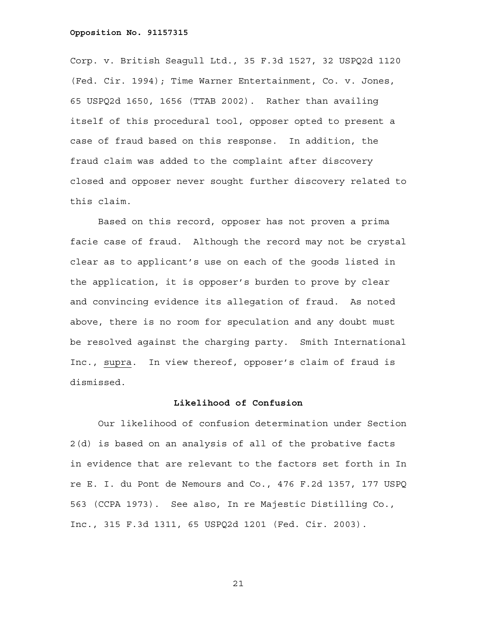Corp. v. British Seagull Ltd., 35 F.3d 1527, 32 USPQ2d 1120 (Fed. Cir. 1994); Time Warner Entertainment, Co. v. Jones, 65 USPQ2d 1650, 1656 (TTAB 2002). Rather than availing itself of this procedural tool, opposer opted to present a case of fraud based on this response. In addition, the fraud claim was added to the complaint after discovery closed and opposer never sought further discovery related to this claim.

Based on this record, opposer has not proven a prima facie case of fraud. Although the record may not be crystal clear as to applicant's use on each of the goods listed in the application, it is opposer's burden to prove by clear and convincing evidence its allegation of fraud. As noted above, there is no room for speculation and any doubt must be resolved against the charging party. Smith International Inc., supra. In view thereof, opposer's claim of fraud is dismissed.

# **Likelihood of Confusion**

Our likelihood of confusion determination under Section 2(d) is based on an analysis of all of the probative facts in evidence that are relevant to the factors set forth in In re E. I. du Pont de Nemours and Co., 476 F.2d 1357, 177 USPQ 563 (CCPA 1973). See also, In re Majestic Distilling Co., Inc., 315 F.3d 1311, 65 USPQ2d 1201 (Fed. Cir. 2003).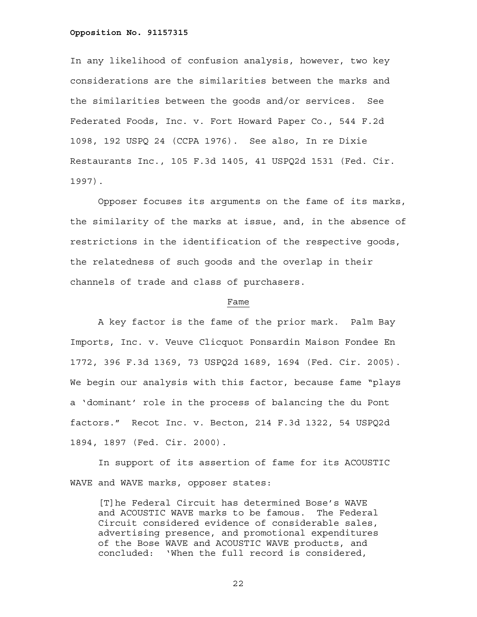In any likelihood of confusion analysis, however, two key considerations are the similarities between the marks and the similarities between the goods and/or services. See Federated Foods, Inc. v. Fort Howard Paper Co., 544 F.2d 1098, 192 USPQ 24 (CCPA 1976). See also, In re Dixie Restaurants Inc., 105 F.3d 1405, 41 USPQ2d 1531 (Fed. Cir. 1997).

Opposer focuses its arguments on the fame of its marks, the similarity of the marks at issue, and, in the absence of restrictions in the identification of the respective goods, the relatedness of such goods and the overlap in their channels of trade and class of purchasers.

### Fame

A key factor is the fame of the prior mark. Palm Bay Imports, Inc. v. Veuve Clicquot Ponsardin Maison Fondee En 1772, 396 F.3d 1369, 73 USPQ2d 1689, 1694 (Fed. Cir. 2005). We begin our analysis with this factor, because fame "plays a 'dominant' role in the process of balancing the du Pont factors." Recot Inc. v. Becton, 214 F.3d 1322, 54 USPQ2d 1894, 1897 (Fed. Cir. 2000).

In support of its assertion of fame for its ACOUSTIC WAVE and WAVE marks, opposer states:

[T]he Federal Circuit has determined Bose's WAVE and ACOUSTIC WAVE marks to be famous. The Federal Circuit considered evidence of considerable sales, advertising presence, and promotional expenditures of the Bose WAVE and ACOUSTIC WAVE products, and concluded: 'When the full record is considered,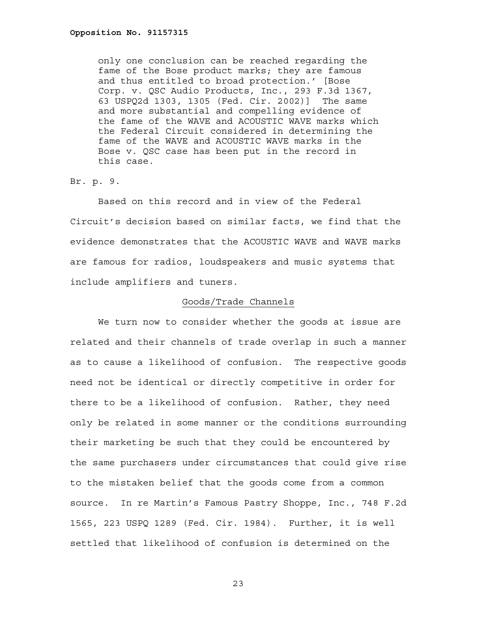only one conclusion can be reached regarding the fame of the Bose product marks; they are famous and thus entitled to broad protection.' [Bose Corp. v. QSC Audio Products, Inc., 293 F.3d 1367, 63 USPQ2d 1303, 1305 (Fed. Cir. 2002)] The same and more substantial and compelling evidence of the fame of the WAVE and ACOUSTIC WAVE marks which the Federal Circuit considered in determining the fame of the WAVE and ACOUSTIC WAVE marks in the Bose v. QSC case has been put in the record in this case.

# Br. p. 9.

 Based on this record and in view of the Federal Circuit's decision based on similar facts, we find that the evidence demonstrates that the ACOUSTIC WAVE and WAVE marks are famous for radios, loudspeakers and music systems that include amplifiers and tuners.

### Goods/Trade Channels

We turn now to consider whether the goods at issue are related and their channels of trade overlap in such a manner as to cause a likelihood of confusion. The respective goods need not be identical or directly competitive in order for there to be a likelihood of confusion. Rather, they need only be related in some manner or the conditions surrounding their marketing be such that they could be encountered by the same purchasers under circumstances that could give rise to the mistaken belief that the goods come from a common source. In re Martin's Famous Pastry Shoppe, Inc., 748 F.2d 1565, 223 USPQ 1289 (Fed. Cir. 1984). Further, it is well settled that likelihood of confusion is determined on the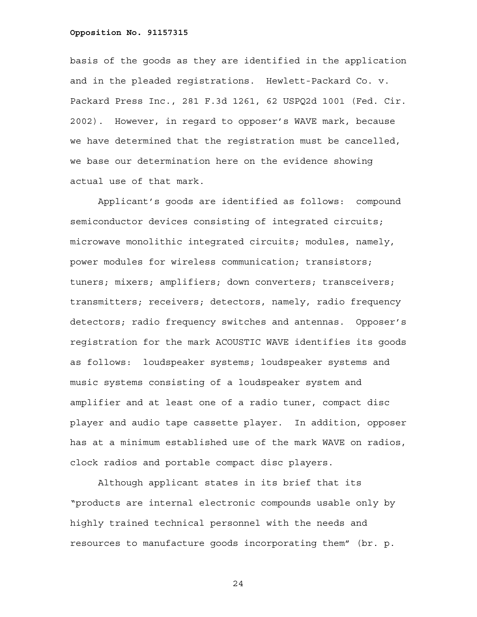basis of the goods as they are identified in the application and in the pleaded registrations. Hewlett-Packard Co. v. Packard Press Inc., 281 F.3d 1261, 62 USPQ2d 1001 (Fed. Cir. 2002). However, in regard to opposer's WAVE mark, because we have determined that the registration must be cancelled, we base our determination here on the evidence showing actual use of that mark.

Applicant's goods are identified as follows: compound semiconductor devices consisting of integrated circuits; microwave monolithic integrated circuits; modules, namely, power modules for wireless communication; transistors; tuners; mixers; amplifiers; down converters; transceivers; transmitters; receivers; detectors, namely, radio frequency detectors; radio frequency switches and antennas. Opposer's registration for the mark ACOUSTIC WAVE identifies its goods as follows: loudspeaker systems; loudspeaker systems and music systems consisting of a loudspeaker system and amplifier and at least one of a radio tuner, compact disc player and audio tape cassette player. In addition, opposer has at a minimum established use of the mark WAVE on radios, clock radios and portable compact disc players.

Although applicant states in its brief that its "products are internal electronic compounds usable only by highly trained technical personnel with the needs and resources to manufacture goods incorporating them" (br. p.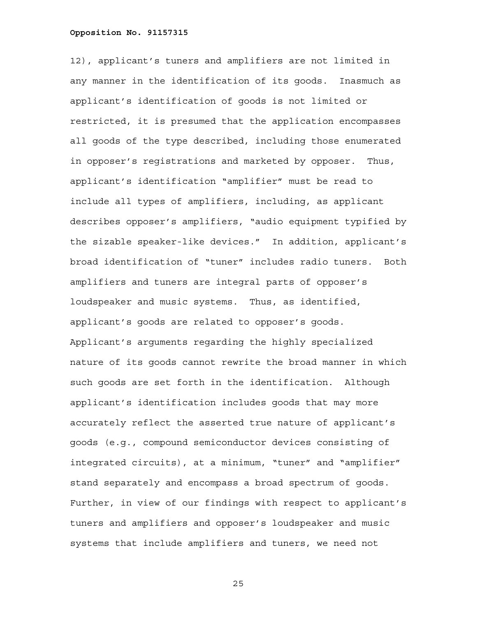12), applicant's tuners and amplifiers are not limited in any manner in the identification of its goods. Inasmuch as applicant's identification of goods is not limited or restricted, it is presumed that the application encompasses all goods of the type described, including those enumerated in opposer's registrations and marketed by opposer. Thus, applicant's identification "amplifier" must be read to include all types of amplifiers, including, as applicant describes opposer's amplifiers, "audio equipment typified by the sizable speaker-like devices." In addition, applicant's broad identification of "tuner" includes radio tuners. Both amplifiers and tuners are integral parts of opposer's loudspeaker and music systems. Thus, as identified, applicant's goods are related to opposer's goods. Applicant's arguments regarding the highly specialized nature of its goods cannot rewrite the broad manner in which such goods are set forth in the identification. Although applicant's identification includes goods that may more accurately reflect the asserted true nature of applicant's goods (e.g., compound semiconductor devices consisting of integrated circuits), at a minimum, "tuner" and "amplifier" stand separately and encompass a broad spectrum of goods. Further, in view of our findings with respect to applicant's tuners and amplifiers and opposer's loudspeaker and music systems that include amplifiers and tuners, we need not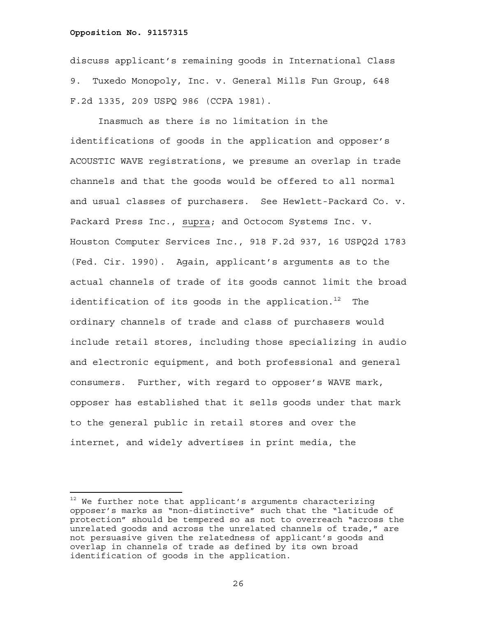discuss applicant's remaining goods in International Class 9. Tuxedo Monopoly, Inc. v. General Mills Fun Group, 648 F.2d 1335, 209 USPQ 986 (CCPA 1981).

Inasmuch as there is no limitation in the identifications of goods in the application and opposer's ACOUSTIC WAVE registrations, we presume an overlap in trade channels and that the goods would be offered to all normal and usual classes of purchasers. See Hewlett-Packard Co. v. Packard Press Inc., supra; and Octocom Systems Inc. v. Houston Computer Services Inc., 918 F.2d 937, 16 USPQ2d 1783 (Fed. Cir. 1990). Again, applicant's arguments as to the actual channels of trade of its goods cannot limit the broad identification of its goods in the application.<sup>12</sup> The ordinary channels of trade and class of purchasers would include retail stores, including those specializing in audio and electronic equipment, and both professional and general consumers. Further, with regard to opposer's WAVE mark, opposer has established that it sells goods under that mark to the general public in retail stores and over the internet, and widely advertises in print media, the

 $12$  We further note that applicant's arguments characterizing opposer's marks as "non-distinctive" such that the "latitude of protection" should be tempered so as not to overreach "across the unrelated goods and across the unrelated channels of trade," are not persuasive given the relatedness of applicant's goods and overlap in channels of trade as defined by its own broad identification of goods in the application.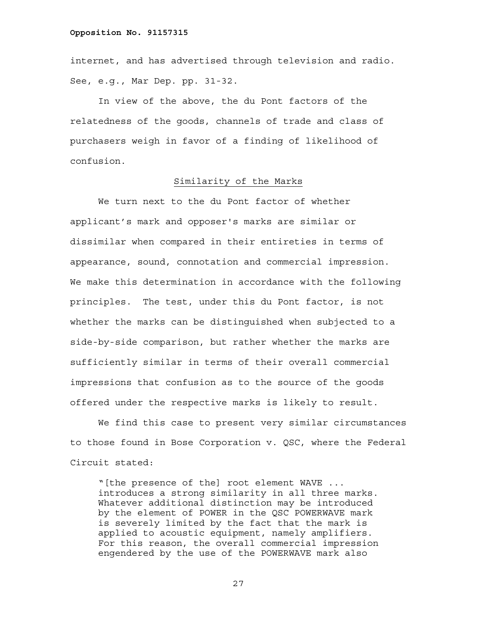internet, and has advertised through television and radio. See, e.g., Mar Dep. pp. 31-32.

In view of the above, the du Pont factors of the relatedness of the goods, channels of trade and class of purchasers weigh in favor of a finding of likelihood of confusion.

### Similarity of the Marks

We turn next to the du Pont factor of whether applicant's mark and opposer's marks are similar or dissimilar when compared in their entireties in terms of appearance, sound, connotation and commercial impression. We make this determination in accordance with the following principles. The test, under this du Pont factor, is not whether the marks can be distinguished when subjected to a side-by-side comparison, but rather whether the marks are sufficiently similar in terms of their overall commercial impressions that confusion as to the source of the goods offered under the respective marks is likely to result.

We find this case to present very similar circumstances to those found in Bose Corporation v. QSC, where the Federal Circuit stated:

"[the presence of the] root element WAVE ... introduces a strong similarity in all three marks. Whatever additional distinction may be introduced by the element of POWER in the QSC POWERWAVE mark is severely limited by the fact that the mark is applied to acoustic equipment, namely amplifiers. For this reason, the overall commercial impression engendered by the use of the POWERWAVE mark also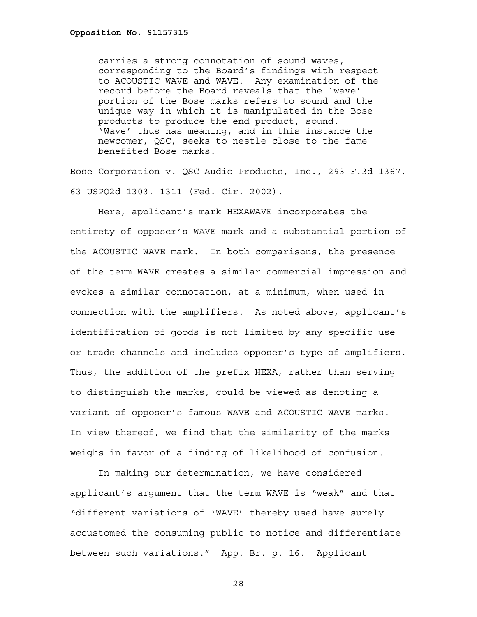carries a strong connotation of sound waves, corresponding to the Board's findings with respect to ACOUSTIC WAVE and WAVE. Any examination of the record before the Board reveals that the 'wave' portion of the Bose marks refers to sound and the unique way in which it is manipulated in the Bose products to produce the end product, sound. 'Wave' thus has meaning, and in this instance the newcomer, QSC, seeks to nestle close to the famebenefited Bose marks.

Bose Corporation v. QSC Audio Products, Inc., 293 F.3d 1367, 63 USPQ2d 1303, 1311 (Fed. Cir. 2002).

Here, applicant's mark HEXAWAVE incorporates the entirety of opposer's WAVE mark and a substantial portion of the ACOUSTIC WAVE mark. In both comparisons, the presence of the term WAVE creates a similar commercial impression and evokes a similar connotation, at a minimum, when used in connection with the amplifiers. As noted above, applicant's identification of goods is not limited by any specific use or trade channels and includes opposer's type of amplifiers. Thus, the addition of the prefix HEXA, rather than serving to distinguish the marks, could be viewed as denoting a variant of opposer's famous WAVE and ACOUSTIC WAVE marks. In view thereof, we find that the similarity of the marks weighs in favor of a finding of likelihood of confusion.

In making our determination, we have considered applicant's argument that the term WAVE is "weak" and that "different variations of 'WAVE' thereby used have surely accustomed the consuming public to notice and differentiate between such variations." App. Br. p. 16. Applicant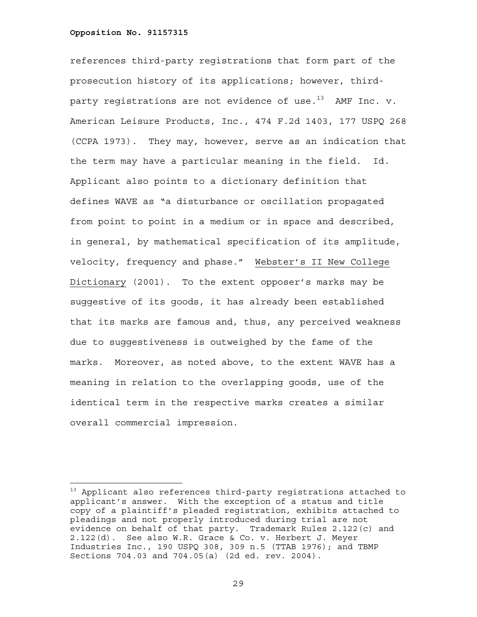i<br>L

references third-party registrations that form part of the prosecution history of its applications; however, thirdparty registrations are not evidence of use. $^{13}$  AMF Inc. v. American Leisure Products, Inc., 474 F.2d 1403, 177 USPQ 268 (CCPA 1973). They may, however, serve as an indication that the term may have a particular meaning in the field. Id. Applicant also points to a dictionary definition that defines WAVE as "a disturbance or oscillation propagated from point to point in a medium or in space and described, in general, by mathematical specification of its amplitude, velocity, frequency and phase." Webster's II New College Dictionary (2001). To the extent opposer's marks may be suggestive of its goods, it has already been established that its marks are famous and, thus, any perceived weakness due to suggestiveness is outweighed by the fame of the marks. Moreover, as noted above, to the extent WAVE has a meaning in relation to the overlapping goods, use of the identical term in the respective marks creates a similar overall commercial impression.

 $13$  Applicant also references third-party registrations attached to applicant's answer. With the exception of a status and title copy of a plaintiff's pleaded registration, exhibits attached to pleadings and not properly introduced during trial are not evidence on behalf of that party. Trademark Rules 2.122(c) and 2.122(d). See also W.R. Grace & Co. v. Herbert J. Meyer Industries Inc., 190 USPQ 308, 309 n.5 (TTAB 1976); and TBMP Sections 704.03 and 704.05(a) (2d ed. rev. 2004).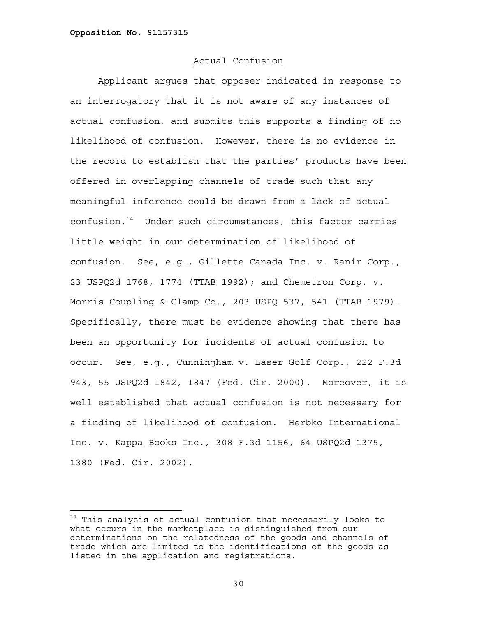i<br>L

# Actual Confusion

Applicant argues that opposer indicated in response to an interrogatory that it is not aware of any instances of actual confusion, and submits this supports a finding of no likelihood of confusion. However, there is no evidence in the record to establish that the parties' products have been offered in overlapping channels of trade such that any meaningful inference could be drawn from a lack of actual  $confusion.^{14}$  Under such circumstances, this factor carries little weight in our determination of likelihood of confusion. See, e.g., Gillette Canada Inc. v. Ranir Corp., 23 USPQ2d 1768, 1774 (TTAB 1992); and Chemetron Corp. v. Morris Coupling & Clamp Co., 203 USPQ 537, 541 (TTAB 1979). Specifically, there must be evidence showing that there has been an opportunity for incidents of actual confusion to occur. See, e.g., Cunningham v. Laser Golf Corp., 222 F.3d 943, 55 USPQ2d 1842, 1847 (Fed. Cir. 2000). Moreover, it is well established that actual confusion is not necessary for a finding of likelihood of confusion. Herbko International Inc. v. Kappa Books Inc., 308 F.3d 1156, 64 USPQ2d 1375, 1380 (Fed. Cir. 2002).

<sup>&</sup>lt;sup>14</sup> This analysis of actual confusion that necessarily looks to what occurs in the marketplace is distinguished from our determinations on the relatedness of the goods and channels of trade which are limited to the identifications of the goods as listed in the application and registrations.